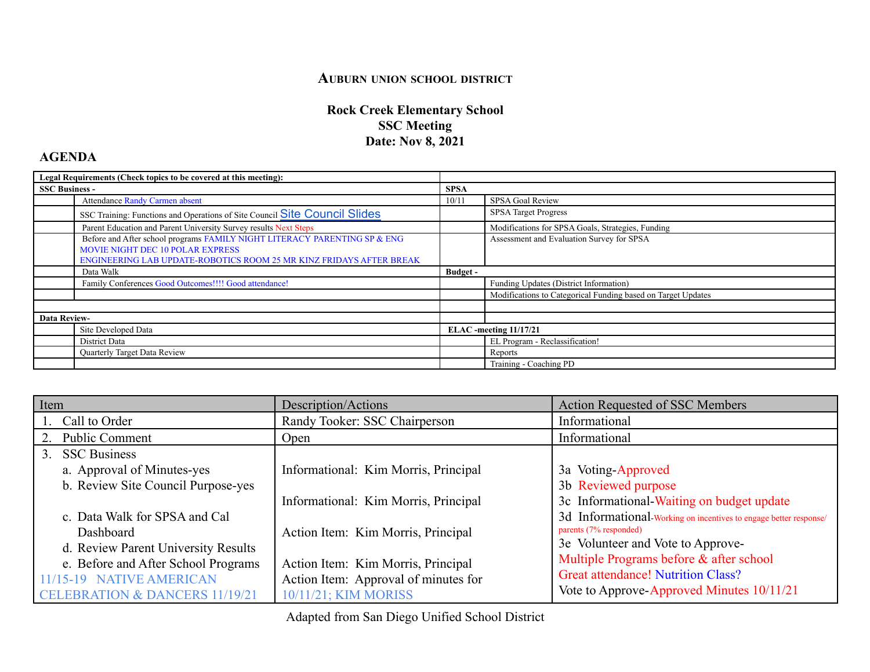## **AUBURN UNION SCHOOL DISTRICT**

## **Rock Creek Elementary School SSC Meeting Date: Nov 8, 2021**

## **AGENDA**

| Legal Requirements (Check topics to be covered at this meeting): |                                                                                   |                        |                                                              |
|------------------------------------------------------------------|-----------------------------------------------------------------------------------|------------------------|--------------------------------------------------------------|
| <b>SSC Business -</b>                                            |                                                                                   | <b>SPSA</b>            |                                                              |
|                                                                  | <b>Attendance Randy Carmen absent</b>                                             | 10/11                  | SPSA Goal Review                                             |
|                                                                  | SSC Training: Functions and Operations of Site Council Slides Site Council Slides |                        | <b>SPSA</b> Target Progress                                  |
|                                                                  | Parent Education and Parent University Survey results Next Steps                  |                        | Modifications for SPSA Goals, Strategies, Funding            |
|                                                                  | Before and After school programs FAMILY NIGHT LITERACY PARENTING SP & ENG         |                        | Assessment and Evaluation Survey for SPSA                    |
|                                                                  | <b>MOVIE NIGHT DEC 10 POLAR EXPRESS</b>                                           |                        |                                                              |
|                                                                  | ENGINEERING LAB UPDATE-ROBOTICS ROOM 25 MR KINZ FRIDAYS AFTER BREAK               |                        |                                                              |
|                                                                  | Data Walk                                                                         | Budget -               |                                                              |
|                                                                  | Family Conferences Good Outcomes!!!! Good attendance!                             |                        | Funding Updates (District Information)                       |
|                                                                  |                                                                                   |                        | Modifications to Categorical Funding based on Target Updates |
|                                                                  |                                                                                   |                        |                                                              |
| <b>Data Review-</b>                                              |                                                                                   |                        |                                                              |
|                                                                  | Site Developed Data                                                               | ELAC -meeting 11/17/21 |                                                              |
|                                                                  | District Data                                                                     |                        | EL Program - Reclassification!                               |
|                                                                  | Quarterly Target Data Review                                                      |                        | Reports                                                      |
|                                                                  |                                                                                   |                        | Training - Coaching PD                                       |

| Item                                             |                                           | Description/Actions                  | <b>Action Requested of SSC Members</b>                            |
|--------------------------------------------------|-------------------------------------------|--------------------------------------|-------------------------------------------------------------------|
|                                                  | Call to Order                             | Randy Tooker: SSC Chairperson        | Informational                                                     |
|                                                  | 2. Public Comment                         | <b>Open</b>                          | Informational                                                     |
|                                                  | 3. SSC Business                           |                                      |                                                                   |
|                                                  | a. Approval of Minutes-yes                | Informational: Kim Morris, Principal | 3a Voting-Approved                                                |
|                                                  | b. Review Site Council Purpose-yes        |                                      | 3b Reviewed purpose                                               |
|                                                  |                                           | Informational: Kim Morris, Principal | 3c Informational-Waiting on budget update                         |
|                                                  | c. Data Walk for SPSA and Cal             |                                      | 3d Informational-Working on incentives to engage better response/ |
| Dashboard<br>d. Review Parent University Results |                                           | Action Item: Kim Morris, Principal   | parents (7% responded)                                            |
|                                                  |                                           |                                      | 3e Volunteer and Vote to Approve-                                 |
|                                                  | e. Before and After School Programs       | Action Item: Kim Morris, Principal   | Multiple Programs before & after school                           |
| 11/15-19 NATIVE AMERICAN                         |                                           | Action Item: Approval of minutes for | <b>Great attendance! Nutrition Class?</b>                         |
|                                                  | <b>CELEBRATION &amp; DANCERS 11/19/21</b> | 10/11/21; KIM MORISS                 | Vote to Approve-Approved Minutes 10/11/21                         |

Adapted from San Diego Unified School District